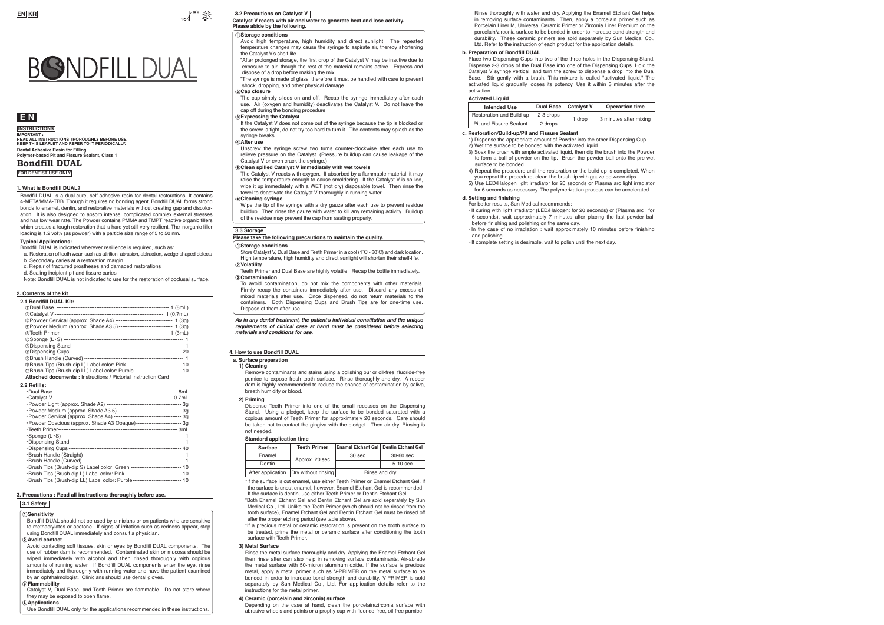

## **4. How to use Bondfill DUAL**

| Surface           | <b>Teeth Primer</b> | Enamel Etchant Gel   Dentin Etchant Gel |            |
|-------------------|---------------------|-----------------------------------------|------------|
| Enamel            | Approx. 20 sec      | 30 sec                                  | 30-60 sec  |
| Dentin            |                     |                                         | $5-10$ sec |
| After application | Dry without rinsing | Rinse and dry                           |            |

## **a. Surface preparation**

#### **1) Cleaning**

Remove contaminants and stains using a polishing bur or oil-free, fluoride-free pumice to expose fresh tooth surface. Rinse thoroughly and dry. A rubber dam is highly recommended to reduce the chance of contamination by saliva, breath humidity or blood.

#### **2) Priming**

Dispense Teeth Primer into one of the small recesses on the Dispensing Stand. Using a pledget, keep the surface to be bonded saturated with a copious amount of Teeth Primer for approximately 20 seconds. Care should be taken not to contact the gingiva with the pledget. Then air dry. Rinsing is not needed.

#### **Standard application time**

\*If the surface is cut enamel, use either Teeth Primer or Enamel Etchant Gel. If the surface is uncut enamel, however, Enamel Etchant Gel is recommended. If the surface is dentin, use either Teeth Primer or Dentin Etchant Gel.

Depending on the case at hand, clean the porcelain/zirconia surface with abrasive wheels and points or a prophy cup with fluoride-free, oil-free pumice

\*Both Enamel Etchant Gel and Dentin Etchant Gel are sold separately by Sun Medical Co., Ltd. Unlike the Teeth Primer (which should not be rinsed from the tooth surface), Enamel Etchant Gel and Dentin Etchant Gel must be rinsed off after the proper etching period (see table above).

\*If a precious metal or ceramic restoration is present on the tooth surface to

be treated, prime the metal or ceramic surface after conditioning the tooth surface with Teeth Primer.

#### **3) Metal Surface**

Rinse the metal surface thoroughly and dry. Applying the Enamel Etchant Gel then rinse after can also help in removing surface contaminants. Air-abrade the metal surface with 50-micron aluminum oxide. If the surface is precious metal, apply a metal primer such as V-PRIMER on the metal surface to be bonded in order to increase bond strength and durability. V-PRIMER is sold separately by Sun Medical Co., Ltd. For application details refer to the instructions for the metal primer.

## **4) Ceramic (porcelain and zirconia) surface**

## **E N**

## **Bondfill DUAL**

**INSTRUCTIONS**

**Dental Adhesive Resin for Filling Polymer-based Pit and Fissure Sealant, Class 1 IMPORTANT : READ ALL INSTRUCTIONS THOROUGHLY BEFORE USE. KEEP THIS LEAFLET AND REFER TO IT PERIODICALLY.** 

**FOR DENTIST USE ONLY**

Bondfill DUAL is a dual-cure, self-adhesive resin for dental restorations. It contains 4-META/MMA-TBB. Though it requires no bonding agent, Bondfill DUAL forms strong bonds to enamel, dentin, and restorative materials without creating gap and discoloration. It is also designed to absorb intense, complicated complex external stresses and has low wear rate. The Powder contains PMMA and TMPT reactive organic fillers which creates a tough restoration that is hard yet still very resilient. The inorganic filler loading is 1.2 vol% (as powder) with a particle size range of 5 to 50 nm.

#### **Typical Applications:**

Bondfill DUAL is indicated wherever resilience is required, such as:

- a. Restoration of tooth wear, such as attrition, abrasion, abfraction, wedge-shaped defects b. Secondary caries at a restoration margin
- c. Repair of fractured prostheses and damaged restorations
- d. Sealing incipient pit and fissure caries

Note: Bondfill DUAL is not indicated to use for the restoration of occlusal surface.

#### **1. What is Bondfill DUAL?**

The cap simply slides on and off. Recap the syringe immediately after each use. Air (oxygen and humidity) deactivates the Catalyst V. Do not leave the cap off during the bonding procedure.

•Brush Tips (Brush-dip LL) Label color: Purple---------------------------- 10

The Catalyst V reacts with oxygen. If absorbed by a flammable material, it may raise the temperature enough to cause smoldering. If the Catalyst V is spilled, wipe it up immediately with a WET (not dry) disposable towel. Then rinse the towel to deactivate the Catalyst V thoroughly in running water.

## **2. Contents of the kit**

## **3. Precautions : Read all instructions thoroughly before use.**

## **3.1 Safety**

## **Sensitivity**

Bondfill DUAL should not be used by clinicians or on patients who are sensitive to methacrylates or acetone. If signs of irritation such as redness appear, stop using Bondfill DUAL immediately and consult a physician. **Avoid contact**

Avoid contacting soft tissues, skin or eyes by Bondfill DUAL components. The use of rubber dam is recommended. Contaminated skin or mucosa should be wiped immediately with alcohol and then rinsed thoroughly with copious amounts of running water. If Bondfill DUAL components enter the eye, rinse immediately and thoroughly with running water and have the patient examined by an ophthalmologist. Clinicians should use dental gloves.

## **Flammability**

Catalyst V, Dual Base, and Teeth Primer are flammable. Do not store where they may be exposed to open flame.

## **Applications**

Use Bondfill DUAL only for the applications recommended in these instructions.

*As in any dental treatment, the patient's individual constitution and the unique requirements of clinical case at hand must be considered before selecting materials and conditions for use.* 

## **3.3 Storage**

#### **Storage conditions**

Store Catalyst V, Dual Base and Teeth Primer in a cool (1˚C - 30˚C) and dark location. High temperature, high humidity and direct sunlight will shorten their shelf-life.

- **Volatility** Teeth Primer and Dual Base are highly volatile. Recap the bottle immediately.
- **Contamination** To avoid contamination, do not mix the components with other materials. Firmly recap the containers immediately after use. Discard any excess of mixed materials after use. Once dispensed, do not return materials to the containers. Both Dispensing Cups and Brush Tips are for one-time use. Dispose of them after use.

#### **Please take the following precautions to maintain the quality.**

| 2.1 Bondfill DUAL Kit:                                                                                                                                         |
|----------------------------------------------------------------------------------------------------------------------------------------------------------------|
|                                                                                                                                                                |
|                                                                                                                                                                |
| <b><sup>3</sup>Powder Cervical (approx. Shade A4)</b> --------------------------------- 1 (3q)                                                                 |
| 4 Powder Medium (approx. Shade A3.5) ------------------------------- 1 (3g)                                                                                    |
|                                                                                                                                                                |
|                                                                                                                                                                |
|                                                                                                                                                                |
|                                                                                                                                                                |
|                                                                                                                                                                |
| @Brush Tips (Brush-dip L) Label color: Pink-------------------------------- 10                                                                                 |
| 10 Brush Tips (Brush-dip LL) Label color: Purple -------------------------- 10                                                                                 |
| <b>Attached documents: Instructions / Pictorial Instruction Card</b>                                                                                           |
| 2.2 Refills:                                                                                                                                                   |
|                                                                                                                                                                |
|                                                                                                                                                                |
|                                                                                                                                                                |
|                                                                                                                                                                |
|                                                                                                                                                                |
|                                                                                                                                                                |
|                                                                                                                                                                |
| · Powder Opacious (approx. Shade A3 Opaque)-------------------------- 3g                                                                                       |
|                                                                                                                                                                |
|                                                                                                                                                                |
|                                                                                                                                                                |
|                                                                                                                                                                |
|                                                                                                                                                                |
|                                                                                                                                                                |
| ·Brush Tips (Brush-dip S) Label color: Green ---------------------------- 10<br>·Brush Tips (Brush-dip L) Label color: Pink ------------------------------- 10 |

Rinse thoroughly with water and dry. Applying the Enamel Etchant Gel helps in removing surface contaminants. Then, apply a porcelain primer such as Porcelain Liner M, Universal Ceramic Primer or Zirconia Liner Premium on the porcelain/zirconia surface to be bonded in order to increase bond strength and durability. These ceramic primers are sold separately by Sun Medical Co., Ltd. Refer to the instruction of each product for the application details.

#### **b. Preparation of Bondfill DUAL**

Place two Dispensing Cups into two of the three holes in the Dispensing Stand. Dispense 2-3 drops of the Dual Base into one of the Dispensing Cups. Hold the Catalyst V syringe vertical, and turn the screw to dispense a drop into the Dual Base. Stir gently with a brush. This mixture is called "activated liquid." The activated liquid gradually looses its potency. Use it within 3 minutes after the activation.

#### **Activated Liquid**

| <b>Intended Use</b>            | Dual Base | <b>Catalvst V</b> | <b>Operartion time</b> |
|--------------------------------|-----------|-------------------|------------------------|
| Restoration and Build-up       | 2-3 drops | 1 drop            | 3 minutes after mixing |
| <b>Pit and Fissure Sealant</b> | 2 drops   |                   |                        |

## **c. Restoration/Build-up/Pit and Fissure Sealant**

1) Dispense the appropriate amount of Powder into the other Dispensing Cup.

- 2) Wet the surface to be bonded with the activated liquid. 3) Soak the brush with ample activated liquid, then dip the brush into the Powder to form a ball of powder on the tip. Brush the powder ball onto the pre-wet
- surface to be bonded. 4) Repeat the procedure until the restoration or the build-up is completed. When
- you repeat the procedure, clean the brush tip with gauze between dips. 5) Use LED/Halogen light irradiator for 20 seconds or Plasma arc light irradiator

for 6 seconds as necessary. The polymerization process can be accelerated.

## **d. Setting and finishing**

For better results, Sun Medical recommends:

- •If curing with light irradiator (LED/Halogen: for 20 seconds) or (Plasma arc : for 6 seconds), wait approximately 7 minutes after placing the last powder ball before finishing and polishing on the same day.
- •In the case of no irradiation : wait approximately 10 minutes before finishing and polishing.
- •If complete setting is desirable, wait to polish until the next day.

## **3.2 Precautions on Catalyst V**

**Catalyst V reacts with air and water to generate heat and lose activity. Please abide by the following.**

#### **Storage conditions**

Avoid high temperature, high humidity and direct sunlight. The repeated temperature changes may cause the syringe to aspirate air, thereby shortening the Catalyst V's shelf-life.

\*After prolonged storage, the first drop of the Catalyst V may be inactive due to exposure to air, though the rest of the material remains active. Express and dispose of a drop before making the mix.

\*The syringe is made of glass, therefore it must be handled with care to prevent shock, dropping, and other physical damage.

#### **Cap closure**

#### **Expressing the Catalyst**

If the Catalyst V does not come out of the syringe because the tip is blocked or the screw is tight, do not try too hard to turn it. The contents may splash as the syringe breaks.

## **After use**

Unscrew the syringe screw two turns counter-clockwise after each use to relieve pressure on the Catalyst. (Pressure buildup can cause leakage of the Catalyst V or even crack the syringe.)

## **Clean spilled Catalyst V immediately with wet towels**

#### **Cleaning syringe**

Wipe the tip of the syringe with a dry gauze after each use to prevent residue buildup. Then rinse the gauze with water to kill any remaining activity. Buildup of the residue may prevent the cap from seating properly.